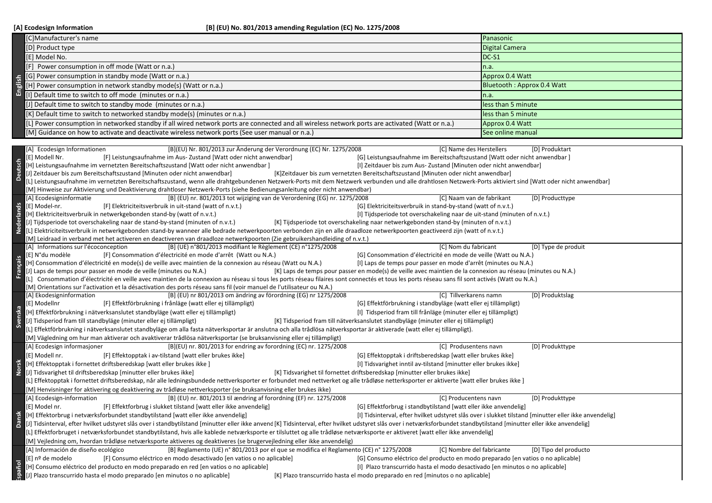| [C]Manufacturer's name                                                                                                                          | Panasonic                  |
|-------------------------------------------------------------------------------------------------------------------------------------------------|----------------------------|
| [D] Product type                                                                                                                                | <b>Digital Camera</b>      |
| E] Model No.                                                                                                                                    | $DC-S1$                    |
| [F] Power consumption in off mode (Watt or n.a.)                                                                                                | n.a.                       |
| [G] Power consumption in standby mode (Watt or n.a.)                                                                                            | Approx 0.4 Watt            |
| $\frac{1}{10}$ [H] Power consumption in network standby mode(s) (Watt or n.a.)                                                                  | Bluetooth: Approx 0.4 Watt |
| [I] Default time to switch to off mode (minutes or n.a.)                                                                                        | n.a.                       |
| [J] Default time to switch to standby mode (minutes or n.a.)                                                                                    | less than 5 minute         |
| $[K]$ Default time to switch to networked standby mode(s) (minutes or n.a.)                                                                     | less than 5 minute         |
| [L] Power consumption in networked standby if all wired network ports are connected and all wireless network ports are activated (Watt or n.a.) | Approx 0.4 Watt            |
| [M] Guidance on how to activate and deactivate wireless network ports (See user manual or n.a.)                                                 | See online manual          |
|                                                                                                                                                 |                            |

|                                                                                                                                                                                                                         | (G) Power consumption in standby mode (watt or n.a.)                                                                                                                                                                                                                                                                     | Approx 0.4 wall                                                                                        |  |  |  |
|-------------------------------------------------------------------------------------------------------------------------------------------------------------------------------------------------------------------------|--------------------------------------------------------------------------------------------------------------------------------------------------------------------------------------------------------------------------------------------------------------------------------------------------------------------------|--------------------------------------------------------------------------------------------------------|--|--|--|
|                                                                                                                                                                                                                         | [H] Power consumption in network standby mode(s) (Watt or n.a.)                                                                                                                                                                                                                                                          | Bluetooth: Approx 0.4 Watt                                                                             |  |  |  |
| English                                                                                                                                                                                                                 | [I] Default time to switch to off mode (minutes or n.a.)                                                                                                                                                                                                                                                                 | n.a.                                                                                                   |  |  |  |
|                                                                                                                                                                                                                         | [J] Default time to switch to standby mode (minutes or n.a.)                                                                                                                                                                                                                                                             | less than 5 minute                                                                                     |  |  |  |
|                                                                                                                                                                                                                         |                                                                                                                                                                                                                                                                                                                          | less than 5 minute                                                                                     |  |  |  |
|                                                                                                                                                                                                                         | [K] Default time to switch to networked standby mode(s) (minutes or n.a.)                                                                                                                                                                                                                                                |                                                                                                        |  |  |  |
|                                                                                                                                                                                                                         | [L] Power consumption in networked standby if all wired network ports are connected and all wireless network ports are activated (Watt or n.a.)                                                                                                                                                                          | Approx 0.4 Watt                                                                                        |  |  |  |
|                                                                                                                                                                                                                         | [M] Guidance on how to activate and deactivate wireless network ports (See user manual or n.a.)                                                                                                                                                                                                                          | See online manual                                                                                      |  |  |  |
|                                                                                                                                                                                                                         |                                                                                                                                                                                                                                                                                                                          |                                                                                                        |  |  |  |
|                                                                                                                                                                                                                         | [B](EU) Nr. 801/2013 zur Änderung der Verordnung (EC) Nr. 1275/2008<br>[A] Ecodesign Informationen<br>[C] Name des Herstellers                                                                                                                                                                                           | [D] Produktart                                                                                         |  |  |  |
|                                                                                                                                                                                                                         | [E] Modell Nr.<br>[F] Leistungsaufnahme im Aus-Zustand [Watt oder nicht anwendbar]<br>[G] Leistungsaufnahme im Bereitschaftszustand [Watt oder nicht anwendbar]                                                                                                                                                          |                                                                                                        |  |  |  |
|                                                                                                                                                                                                                         | [H] Leistungsaufnahme im vernetzten Bereitschaftszustand [Watt oder nicht anwendbar]<br>[I] Zeitdauer bis zum Aus- Zustand [Minuten oder nicht anwendbar]                                                                                                                                                                |                                                                                                        |  |  |  |
| <b>Deutsch</b>                                                                                                                                                                                                          | J] Zeitdauer bis zum Bereitschaftszustand [Minuten oder nicht anwendbar]<br>[K]Zeitdauer bis zum vernetzten Bereitschaftszustand [Minuten oder nicht anwendbar]                                                                                                                                                          |                                                                                                        |  |  |  |
|                                                                                                                                                                                                                         | L] Leistungsaufnahme im vernetzten Bereitschaftszustand, wenn alle drahtgebundenen Netzwerk-Ports mit dem Netzwerk verbunden und alle drahtlosen Netzwerk-Ports aktiviert sind [Watt oder nicht anwendbar]                                                                                                               |                                                                                                        |  |  |  |
| [M] Hinweise zur Aktivierung und Deaktivierung drahtloser Netzwerk-Ports (siehe Bedienungsanleitung oder nicht anwendbar)                                                                                               |                                                                                                                                                                                                                                                                                                                          |                                                                                                        |  |  |  |
|                                                                                                                                                                                                                         | [C] Naam van de fabrikant<br>[A] Ecodesigninformatie<br>[B] (EU) nr. 801/2013 tot wijziging van de Verordening (EG) nr. 1275/2008                                                                                                                                                                                        | [D] Producttype                                                                                        |  |  |  |
| <b>Nederlands</b>                                                                                                                                                                                                       | [E] Model-nr.<br>[F] Elektriciteitsverbruik in uit-stand (watt of n.v.t.)<br>[G] Elektriciteitsverbruik in stand-by-stand (watt of n.v.t.)                                                                                                                                                                               |                                                                                                        |  |  |  |
|                                                                                                                                                                                                                         | [H] Elektriciteitsverbruik in netwerkgebonden stand-by (watt of n.v.t.)<br>[I] Tijdsperiode tot overschakeling naar de uit-stand (minuten of n.v.t.)                                                                                                                                                                     |                                                                                                        |  |  |  |
|                                                                                                                                                                                                                         | [J] Tijdsperiode tot overschakeling naar de stand-by-stand (minuten of n.v.t.)<br>[K] Tijdsperiode tot overschakeling naar netwerkgebonden stand-by (minuten of n.v.t.)                                                                                                                                                  |                                                                                                        |  |  |  |
|                                                                                                                                                                                                                         | [L] Elektriciteitsverbruik in netwerkgebonden stand-by wanneer alle bedrade netwerkpoorten verbonden zijn en alle draadloze netwerkpoorten geactiveerd zijn (watt of n.v.t.)                                                                                                                                             |                                                                                                        |  |  |  |
|                                                                                                                                                                                                                         | [M] Leidraad in verband met het activeren en deactiveren van draadloze netwerkpoorten (Zie gebruikershandleiding of n.v.t.)                                                                                                                                                                                              |                                                                                                        |  |  |  |
|                                                                                                                                                                                                                         | [C] Nom du fabricant<br>[A] Informations sur l'écoconception<br>[B] (UE) n°801/2013 modifiant le Règlement (CE) n°1275/2008                                                                                                                                                                                              | [D] Type de produit                                                                                    |  |  |  |
|                                                                                                                                                                                                                         | [E] N°du modèle<br>[F] Consommation d'électricité en mode d'arrêt (Watt ou N.A.)<br>[G] Consommation d'électricité en mode de veille (Watt ou N.A.)                                                                                                                                                                      |                                                                                                        |  |  |  |
|                                                                                                                                                                                                                         | [H] Consommation d'électricité en mode(s) de veille avec maintien de la connexion au réseau (Watt ou N.A.)<br>[I] Laps de temps pour passer en mode d'arrêt (minutes ou N.A.)                                                                                                                                            |                                                                                                        |  |  |  |
| <b>Français</b>                                                                                                                                                                                                         | J] Laps de temps pour passer en mode de veille (minutes ou N.A.)<br>[K] Laps de temps pour passer en mode(s) de veille avec maintien de la connexion au réseau (minutes ou N.A.)                                                                                                                                         |                                                                                                        |  |  |  |
|                                                                                                                                                                                                                         | L] Consommation d'électricité en veille avec maintien de la connexion au réseau si tous les ports réseau filaires sont connectés et tous les ports réseau sans fil sont activés (Watt ou N.A.)<br>[M] Orientations sur l'activation et la désactivation des ports réseau sans fil (voir manuel de l'utilisateur ou N.A.) |                                                                                                        |  |  |  |
|                                                                                                                                                                                                                         | [B] (EU) nr 801/2013 om ändring av förordning (EG) nr 1275/2008<br>[C] Tillverkarens namn<br>[A] Ekodesigninformation                                                                                                                                                                                                    | [D] Produktslag                                                                                        |  |  |  |
|                                                                                                                                                                                                                         | [E] Modellnr<br>[F] Effektförbrukning i frånläge (watt eller ej tillämpligt)<br>[G] Effektförbrukning i standbyläge (watt eller ej tillämpligt)                                                                                                                                                                          |                                                                                                        |  |  |  |
| Svenska                                                                                                                                                                                                                 | [H] Effektförbrukning i nätverksanslutet standbyläge (watt eller ej tillämpligt)<br>[I] Tidsperiod fram till frånläge (minuter eller ej tillämpligt)                                                                                                                                                                     |                                                                                                        |  |  |  |
|                                                                                                                                                                                                                         | J] Tidsperiod fram till standbyläge (minuter eller ej tillämpligt)<br>[K] Tidsperiod fram till nätverksanslutet standbyläge (minuter eller ej tillämpligt)                                                                                                                                                               |                                                                                                        |  |  |  |
|                                                                                                                                                                                                                         | [L] Effektförbrukning i nätverksanslutet standbyläge om alla fasta nätverksportar är anslutna och alla trådlösa nätverksportar är aktiverade (watt eller ej tillämpligt).                                                                                                                                                |                                                                                                        |  |  |  |
|                                                                                                                                                                                                                         | [M] Vägledning om hur man aktiverar och avaktiverar trådlösa nätverksportar (se bruksanvisning eller ej tillämpligt)                                                                                                                                                                                                     |                                                                                                        |  |  |  |
|                                                                                                                                                                                                                         |                                                                                                                                                                                                                                                                                                                          |                                                                                                        |  |  |  |
|                                                                                                                                                                                                                         | [B](EU) nr. 801/2013 for endring av forordning (EC) nr. 1275/2008<br>[A] Ecodesign informasjoner<br>[C] Produsentens navn                                                                                                                                                                                                | [D] Produkttype                                                                                        |  |  |  |
|                                                                                                                                                                                                                         | [G] Effektopptak i driftsberedskap [watt eller brukes ikke]<br>[E] Modell nr.<br>[F] Effektopptak i av-tilstand [watt eller brukes ikke]                                                                                                                                                                                 |                                                                                                        |  |  |  |
| Norsk                                                                                                                                                                                                                   | [H] Effektopptak i fornettet driftsberedskap [watt eller brukes ikke ]<br>[I] Tidsvarighet inntil av-tilstand [minutter eller brukes ikke]                                                                                                                                                                               |                                                                                                        |  |  |  |
|                                                                                                                                                                                                                         | [J] Tidsvarighet til driftsberedskap [minutter eller brukes ikke]<br>[K] Tidsvarighet til fornettet driftsberedskap [minutter eller brukes ikke]                                                                                                                                                                         |                                                                                                        |  |  |  |
|                                                                                                                                                                                                                         | [L] Effektopptak i fornettet driftsberedskap, når alle ledningsbundede nettverksporter er forbundet med nettverket og alle trådløse netterksporter er aktiverte [watt eller brukes ikke]                                                                                                                                 |                                                                                                        |  |  |  |
| [M] Henvisninger for aktivering og deaktivering av trådløse nettverksporter (se bruksanvisning eller brukes ikke)                                                                                                       |                                                                                                                                                                                                                                                                                                                          |                                                                                                        |  |  |  |
|                                                                                                                                                                                                                         | [B] (EU) nr. 801/2013 til ændring af forordning (EF) nr. 1275/2008<br>[A] Ecodesign-information<br>[C] Producentens navn                                                                                                                                                                                                 | [D] Produkttype                                                                                        |  |  |  |
|                                                                                                                                                                                                                         | [G] Effektforbrug i standbytilstand [watt eller ikke anvendelig]<br>[E] Model nr.<br>[F] Effektforbrug i slukket tilstand [watt eller ikke anvendelig]                                                                                                                                                                   |                                                                                                        |  |  |  |
| Dansk                                                                                                                                                                                                                   | [H] Effektorbrug i netværksforbundet standbytilstand [watt eller ikke anvendelig]                                                                                                                                                                                                                                        | [I] Tidsinterval, efter hvilket udstyret slås over i slukket tilstand [minutter eller ikke anvendelig] |  |  |  |
| J] Tidsinterval, efter hvilket udstyret slås over i standbytilstand [minutter eller ikke anvend [K] Tidsinterval, efter hvilket udstyret slås over i netværksforbundet standbytilstand [minutter eller ikke anvendelig] |                                                                                                                                                                                                                                                                                                                          |                                                                                                        |  |  |  |
|                                                                                                                                                                                                                         | [L] Effektforbruget i netværksforbundet standbytilstand, hvis alle kablede netværksporte er tilsluttet og alle trådløse netværksporte er aktiveret [watt eller ikke anvendelig]                                                                                                                                          |                                                                                                        |  |  |  |
| [M] Vejledning om, hvordan trådløse netværksporte aktiveres og deaktiveres (se brugervejledning eller ikke anvendelig)                                                                                                  |                                                                                                                                                                                                                                                                                                                          |                                                                                                        |  |  |  |
|                                                                                                                                                                                                                         | [B] Reglamento (UE) n° 801/2013 por el que se modifica el Reglamento (CE) n° 1275/2008<br>[C] Nombre del fabricante<br>[A] Información de diseño ecológico                                                                                                                                                               | [D] Tipo del producto                                                                                  |  |  |  |
|                                                                                                                                                                                                                         | [E] nº de modelo<br>[F] Consumo eléctrico en modo desactivado [en vatios o no aplicable]<br>[G] Consumo eléctrico del producto en modo preparado [en vatios o no aplicable]                                                                                                                                              |                                                                                                        |  |  |  |
| logeds:                                                                                                                                                                                                                 | [H] Consumo eléctrico del producto en modo preparado en red [en vatios o no aplicable]<br>[I] Plazo transcurrido hasta el modo desactivado [en minutos o no aplicable]                                                                                                                                                   |                                                                                                        |  |  |  |
|                                                                                                                                                                                                                         | [J] Plazo transcurrido hasta el modo preparado [en minutos o no aplicable]<br>[K] Plazo transcurrido hasta el modo preparado en red [minutos o no aplicable]                                                                                                                                                             |                                                                                                        |  |  |  |
|                                                                                                                                                                                                                         |                                                                                                                                                                                                                                                                                                                          |                                                                                                        |  |  |  |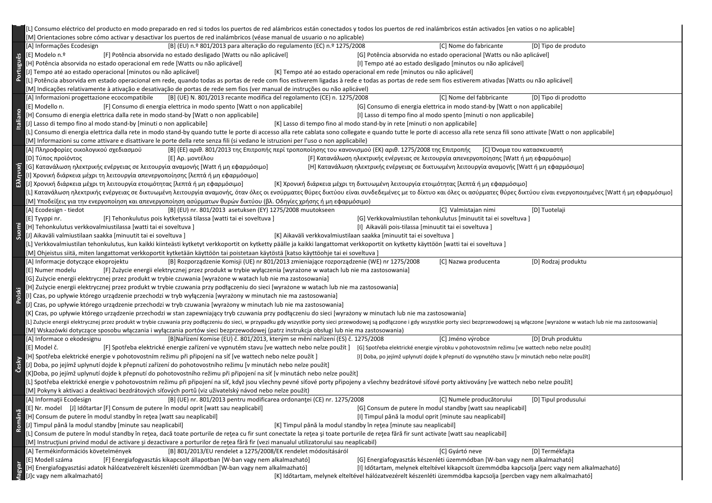|                 | [L] Consumo eléctrico del producto en modo preparado en red si todos los puertos de red alámbricos están conectados y todos los puertos de red inalámbricos están activados [en vatios o no aplicable]<br>[M] Orientaciones sobre cómo activar y desactivar los puertos de red inalámbricos (véase manual de usuario o no aplicable)                 |                      |  |  |  |
|-----------------|------------------------------------------------------------------------------------------------------------------------------------------------------------------------------------------------------------------------------------------------------------------------------------------------------------------------------------------------------|----------------------|--|--|--|
|                 | [B] (EU) n.º 801/2013 para alteração do regulamento (EC) n.º 1275/2008<br>[C] Nome do fabricante<br>[A] Informações Ecodesign                                                                                                                                                                                                                        | [D] Tipo de produto  |  |  |  |
|                 | [G] Potência absorvida no estado operacional [Watts ou não aplicável]<br>[E] Modelo n.º<br>[F] Potência absorvida no estado desligado [Watts ou não aplicável]                                                                                                                                                                                       |                      |  |  |  |
|                 | [H] Potência absorvida no estado operacional em rede [Watts ou não aplicável]<br>[I] Tempo até ao estado desligado [minutos ou não aplicável]                                                                                                                                                                                                        |                      |  |  |  |
| Português       | [K] Tempo até ao estado operacional em rede [minutos ou não aplicável]                                                                                                                                                                                                                                                                               |                      |  |  |  |
|                 | [J] Tempo até ao estado operacional [minutos ou não aplicável]                                                                                                                                                                                                                                                                                       |                      |  |  |  |
|                 | [L] Potência absorvida em estado operacional em rede, quando todas as portas de rede com fios estiverem ligadas à rede e todas as portas de rede sem fios estiverem ativadas [Watts ou não aplicável]                                                                                                                                                |                      |  |  |  |
|                 | [M] Indicações relativamente à ativação e desativação de portas de rede sem fios (ver manual de instruções ou não aplicável)                                                                                                                                                                                                                         |                      |  |  |  |
|                 | [C] Nome del fabbricante<br>[B] (UE) N. 801/2013 recante modifica del regolamento (CE) n. 1275/2008<br>[A] Informazioni progettazione ecocompatibile                                                                                                                                                                                                 | [D] Tipo di prodotto |  |  |  |
|                 | [G] Consumo di energia elettrica in modo stand-by [Watt o non applicabile]<br>[E] Modello n.<br>[F] Consumo di energia elettrica in modo spento [Watt o non applicabile]                                                                                                                                                                             |                      |  |  |  |
|                 | [H] Consumo di energia elettrica dalla rete in modo stand-by [Watt o non applicabile]<br>[I] Lasso di tempo fino al modo spento [minuti o non applicabile]                                                                                                                                                                                           |                      |  |  |  |
| <b>Italiano</b> | [J] Lasso di tempo fino al modo stand-by [minuti o non applicabile]<br>[K] Lasso di tempo fino al modo stand-by in rete [minuti o non applicabile]                                                                                                                                                                                                   |                      |  |  |  |
|                 | [L] Consumo di energia elettrica dalla rete in modo stand-by quando tutte le porte di accesso alla rete cablata sono collegate e quando tutte le porte di accesso alla rete senza fili sono attivate [Watt o non applicabile]                                                                                                                        |                      |  |  |  |
|                 | [M] Informazioni su come attivare e disattivare le porte della rete senza fili (si vedano le istruzioni per l'uso o non applicabile)                                                                                                                                                                                                                 |                      |  |  |  |
|                 | [B] (ΕΕ) αριθ. 801/2013 της Επιτροπής περί τροποποίησης του κανονισμού (ΕΚ) αριθ. 1275/2008 της Επιτροπής [C] Όνομα του κατασκευαστή<br>[Α] Πληροφορίες οικολογικού σχεδιασμού                                                                                                                                                                       |                      |  |  |  |
|                 | [F] Κατανάλωση ηλεκτρικής ενέργειας σε λειτουργία απενεργοποίησης [Watt ή μη εφαρμόσιμο]<br>[D] Τύπος προϊόντος<br>[Ε] Αρ. μοντέλου                                                                                                                                                                                                                  |                      |  |  |  |
|                 | [G] Κατανάλωση ηλεκτρικής ενέργειας σε λειτουργία αναμονής [Watt ή μη εφαρμόσιμο]<br>[Η] Κατανάλωση ηλεκτρικής ενέργειας σε δικτυωμένη λειτουργία αναμονής [Watt ή μη εφαρμόσιμο]                                                                                                                                                                    |                      |  |  |  |
| Ελληνική        | [1] Χρονική διάρκεια μέχρι τη λειτουργία απενεργοποίησης [λεπτά ή μη εφαρμόσιμο]                                                                                                                                                                                                                                                                     |                      |  |  |  |
|                 | [J] Χρονική διάρκεια μέχρι τη λειτουργία ετοιμότητας [λεπτά ή μη εφαρμόσιμο]<br>[Κ] Χρονική διάρκεια μέχρι τη δικτυωμένη λειτουργία ετοιμότητας [λεπτά ή μη εφαρμόσιμο]                                                                                                                                                                              |                      |  |  |  |
|                 | [L] Κατανάλωση ηλεκτρικής ενέργειας σε δικτυωμένη λειτουργία αναμονής, όταν όλες οι ενσύρματες θύρες δικτύου είναι συνδεδεμένες με το δίκτυο και όλες οι ασύρματες θύρες δικτύου είναι ενεργοποιημένες [Watt ή μη εφαρμόσιμο]                                                                                                                        |                      |  |  |  |
|                 | [Μ] Υποδείξεις για την ενεργοποίηση και απενεργοποίηση ασύρματων θυρών δικτύου (βλ. Οδηγίες χρήσης ή μη εφαρμόσιμο)                                                                                                                                                                                                                                  |                      |  |  |  |
|                 | [B] (EU) nr. 801/2013 asetuksen (EY) 1275/2008 muutokseen<br>[A] Ecodesign - tiedot<br>[C] Valmistajan nimi                                                                                                                                                                                                                                          | [D] Tuotelaji        |  |  |  |
|                 | [G] Verkkovalmiustilan tehonkulutus [minuutit tai ei soveltuva]<br>[E] Tyyppi nr.<br>[F] Tehonkulutus pois kytketyssä tilassa [watti tai ei soveltuva]                                                                                                                                                                                               |                      |  |  |  |
|                 | [H] Tehonkulutus verkkovalmiustilassa [watti tai ei soveltuva ]<br>[I] Aikaväli pois-tilassa [minuutit tai ei soveltuva]                                                                                                                                                                                                                             |                      |  |  |  |
| Suomi           | [J] Aikaväli valmiustilaan saakka [minuutit tai ei soveltuva]<br>[K] Aikaväli verkkovalmiustilaan saakka [minuutit tai ei soveltuva]                                                                                                                                                                                                                 |                      |  |  |  |
|                 | [L] Verkkovalmiustilan tehonkulutus, kun kaikki kiinteästi kytketyt verkkoportit on kytketty päälle ja kaikki langattomat verkkoportit on kytketty käyttöön [watti tai ei soveltuva]                                                                                                                                                                 |                      |  |  |  |
|                 | [M] Ohjeistus siitä, miten langattomat verkkoportit kytketään käyttöön tai poistetaan käytöstä [katso käyttöohje tai ei soveltuva]                                                                                                                                                                                                                   |                      |  |  |  |
|                 |                                                                                                                                                                                                                                                                                                                                                      |                      |  |  |  |
|                 |                                                                                                                                                                                                                                                                                                                                                      |                      |  |  |  |
|                 | [A] Informacje dotyczące ekoprojektu<br>[B] Rozporządzenie Komisji (UE) nr 801/2013 zmieniające rozporządzenie (WE) nr 1275/2008<br>[C] Nazwa producenta                                                                                                                                                                                             | [D] Rodzaj produktu  |  |  |  |
|                 | [E] Numer modelu<br>[F] Zużycie energii elektrycznej przez produkt w trybie wyłączenia [wyrażone w watach lub nie ma zastosowania]                                                                                                                                                                                                                   |                      |  |  |  |
|                 | [G] Zużycie energii elektrycznej przez produkt w trybie czuwania [wyrażone w watach lub nie ma zastosowania]                                                                                                                                                                                                                                         |                      |  |  |  |
|                 | [H] Zużycie energii elektrycznej przez produkt w trybie czuwania przy podłączeniu do sieci [wyrażone w watach lub nie ma zastosowania]                                                                                                                                                                                                               |                      |  |  |  |
| Polski          | I] Czas, po upływie którego urządzenie przechodzi w tryb wyłączenia [wyrażony w minutach nie ma zastosowania]                                                                                                                                                                                                                                        |                      |  |  |  |
|                 | [J] Czas, po upływie którego urządzenie przechodzi w tryb czuwania [wyrażony w minutach lub nie ma zastosowania]                                                                                                                                                                                                                                     |                      |  |  |  |
|                 | [K] Czas, po upływie którego urządzenie przechodzi w stan zapewniający tryb czuwania przy podłączeniu do sieci [wyrażony w minutach lub nie ma zastosowania]                                                                                                                                                                                         |                      |  |  |  |
|                 | [L] Zużycie energii elektrycznej przez produkt w trybie czuwania przy podłączeniu do sieci, w przypadku gdy wszystkie porty sieci przewodowej są podłączone i gdy wszystkie porty sieci bezprzewodowej są włączone [wyrażone w                                                                                                                       |                      |  |  |  |
|                 | [M] Wskazówki dotyczące sposobu włączania i wyłączania portów sieci bezprzewodowej (patrz instrukcja obsługi lub nie ma zastosowania)                                                                                                                                                                                                                |                      |  |  |  |
|                 | [C] Jméno výrobce<br>[A] Informace o ekodesignu<br>[B]Nařízení Komise (EU) č. 801/2013, kterým se mění nařízení (ES) č. 1275/2008                                                                                                                                                                                                                    | [D] Druh produktu    |  |  |  |
|                 | [F] Spotřeba elektrické energie zařízení ve vypnutém stavu [ve wattech nebo nelze použít] [G] Spotřeba elektrické energie výrobku v pohotovostním režimu [ve wattech nebo nelze použít]<br>[E] Model č.                                                                                                                                              |                      |  |  |  |
|                 | [H] Spotřeba elektrické energie v pohotovostním režimu při připojení na síť [ve wattech nebo nelze použít ]<br>[I] Doba, po jejímž uplynutí dojde k přepnutí do vypnutého stavu [v minutách nebo nelze použít]                                                                                                                                       |                      |  |  |  |
|                 | [J] Doba, po jejímž uplynutí dojde k přepnutí zařízení do pohotovostního režimu [v minutách nebo nelze použít]                                                                                                                                                                                                                                       |                      |  |  |  |
| Česky           | K]Doba, po jejímž uplynutí dojde k přepnutí do pohotovostního režimu při připojení na síť [v minutách nebo nelze použít]                                                                                                                                                                                                                             |                      |  |  |  |
|                 | [L] Spotřeba elektrické energie v pohotovostním režimu při připojení na síť, když jsou všechny pevné síťové porty připojeny a všechny bezdrátové síťové porty aktivovány [ve wattech nebo nelze použít]                                                                                                                                              |                      |  |  |  |
|                 | [M] Pokyny k aktivaci a deaktivaci bezdrátových síťových portů (viz uživatelský návod nebo nelze použít)                                                                                                                                                                                                                                             |                      |  |  |  |
|                 | [A] Informații Ecodesign<br>[B] (UE) nr. 801/2013 pentru modificarea ordonanței (CE) nr. 1275/2008<br>[C] Numele producătorului                                                                                                                                                                                                                      | [D] Tipul produsului |  |  |  |
|                 | [G] Consum de putere în modul standby [watt sau neaplicabil]<br>[E] Nr. model [J] Időtartar [F] Consum de putere în modul oprit [watt sau neaplicabil]                                                                                                                                                                                               |                      |  |  |  |
|                 | [H] Consum de putere în modul standby în rețea [watt sau neaplicabil]<br>[I] Timpul până la modul oprit [minute sau neaplicabil]                                                                                                                                                                                                                     |                      |  |  |  |
| Română          | [J] Timpul până la modul standby [minute sau neaplicabil]<br>[K] Timpul până la modul standby în rețea [minute sau neaplicabil]                                                                                                                                                                                                                      |                      |  |  |  |
|                 | [L] Consum de putere în modul standby în rețea, dacă toate porturile de rețea cu fir sunt conectate la rețea și toate porturile de rețea fără fir sunt activate [watt sau neaplicabil]                                                                                                                                                               |                      |  |  |  |
|                 | [M] Instrucțiuni privind modul de activare și dezactivare a porturilor de rețea fără fir (vezi manualul utilizatorului sau neaplicabil)                                                                                                                                                                                                              |                      |  |  |  |
|                 | [A] Termékinformációs követelmények<br>[B] 801/2013/EU rendelet a 1275/2008/EK rendelet módosításáról<br>[C] Gyártó neve                                                                                                                                                                                                                             | [D] Termékfajta      |  |  |  |
|                 | [G] Energiafogyasztás készenléti üzemmódban [W-ban vagy nem alkalmazható]<br>[E] Modell száma<br>[F] Energiafogyasztás kikapcsolt állapotban [W-ban vagy nem alkalmazható]                                                                                                                                                                           |                      |  |  |  |
|                 | H] Energiafogyasztási adatok hálózatvezérelt készenléti üzemmódban [W-ban vagy nem alkalmazható]<br>[I] Időtartam, melynek elteltével kikapcsolt üzemmódba kapcsolja [perc vagy nem alkalmazható]<br>[J]c vagy nem alkalmazható]<br>[K] Időtartam, melynek elteltével hálózatvezérelt készenléti üzemmódba kapcsolja [percben vagy nem alkalmazható] |                      |  |  |  |